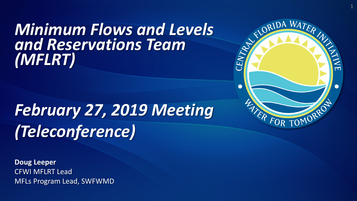### *Minimum Flows and Levels and Reservations Team (MFLRT)*

# *February 27, 2019 Meeting (Teleconference)*

**Doug Leeper** CFWI MFLRT Lead MFLs Program Lead, SWFWMD

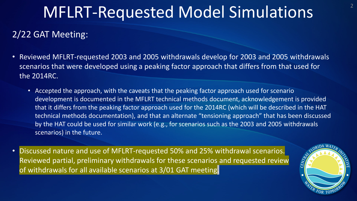### MFLRT-Requested Model Simulations

#### 2/22 GAT Meeting:

- Reviewed MFLRT-requested 2003 and 2005 withdrawals develop for 2003 and 2005 withdrawals scenarios that were developed using a peaking factor approach that differs from that used for the 2014RC.
	- Accepted the approach, with the caveats that the peaking factor approach used for scenario development is documented in the MFLRT technical methods document, acknowledgement is provided that it differs from the peaking factor approach used for the 2014RC (which will be described in the HAT technical methods documentation), and that an alternate "tensioning approach" that has been discussed by the HAT could be used for similar work (e.g., for scenarios such as the 2003 and 2005 withdrawals scenarios) in the future.
- Discussed nature and use of MFLRT-requested 50% and 25% withdrawal scenarios. Reviewed partial, preliminary withdrawals for these scenarios and requested review of withdrawals for all available scenarios at 3/01 GAT meeting.

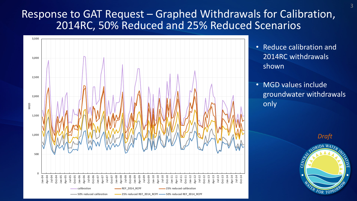#### Response to GAT Request – Graphed Withdrawals for Calibration, 2014RC, 50% Reduced and 25% Reduced Scenarios



- Reduce calibration and 2014RC withdrawals shown
- MGD values include groundwater withdrawals only

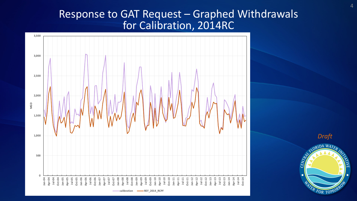#### Response to GAT Request – Graphed Withdrawals for Calibration, 2014RC